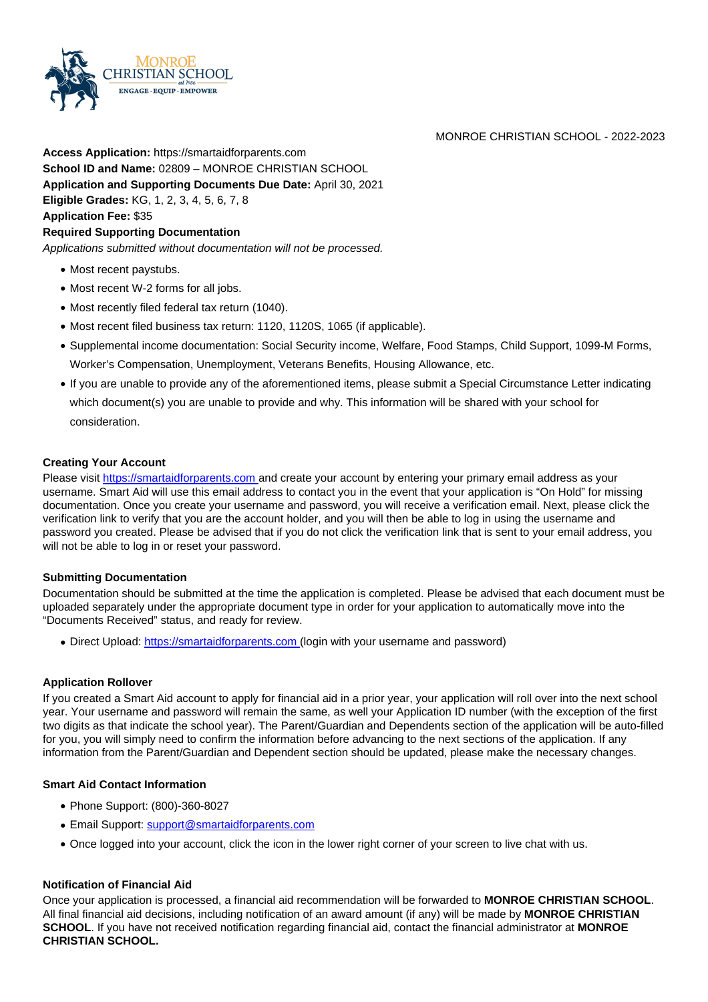

**Access Application:** https://smartaidforparents.com **School ID and Name:** 02809 – MONROE CHRISTIAN SCHOOL **Application and Supporting Documents Due Date:** April 30, 2021 **Eligible Grades:** KG, 1, 2, 3, 4, 5, 6, 7, 8 **Application Fee:** \$35

#### **Required Supporting Documentation**

Applications submitted without documentation will not be processed.

- Most recent paystubs.
- Most recent W-2 forms for all jobs.
- Most recently filed federal tax return (1040).

**HRISTIAN SCHOOL ENGAGE · EQUIP · EMPOWER** 

- Most recent filed business tax return: 1120, 1120S, 1065 (if applicable).
- Supplemental income documentation: Social Security income, Welfare, Food Stamps, Child Support, 1099-M Forms, Worker's Compensation, Unemployment, Veterans Benefits, Housing Allowance, etc.
- If you are unable to provide any of the aforementioned items, please submit a Special Circumstance Letter indicating which document(s) you are unable to provide and why. This information will be shared with your school for consideration.

#### **Creating Your Account**

Please visit https://smartaidforparents.com and create your account by entering your primary email address as your username. Smart Aid will use this email address to contact you in the event that your application is "On Hold" for missing documentation. Once you create your username and password, you will receive a verification email. Next, please click the verification link to verify that you are the account holder, and you will then be able to log in using the username and password you created. Please be advised that if you do not click the verification link that is sent to your email address, you will not be able to log in or reset your password.

#### **Submitting Documentation**

Documentation should be submitted at the time the application is completed. Please be advised that each document must be uploaded separately under the appropriate document type in order for your application to automatically move into the "Documents Received" status, and ready for review.

• Direct Upload: https://smartaidforparents.com (login with your username and password)

#### **Application Rollover**

If you created a Smart Aid account to apply for financial aid in a prior year, your application will roll over into the next school year. Your username and password will remain the same, as well your Application ID number (with the exception of the first two digits as that indicate the school year). The Parent/Guardian and Dependents section of the application will be auto-filled for you, you will simply need to confirm the information before advancing to the next sections of the application. If any information from the Parent/Guardian and Dependent section should be updated, please make the necessary changes.

#### **Smart Aid Contact Information**

- Phone Support: (800)-360-8027
- Email Support: support@smartaidforparents.com
- Once logged into your account, click the icon in the lower right corner of your screen to live chat with us.

#### **Notification of Financial Aid**

Once your application is processed, a financial aid recommendation will be forwarded to **MONROE CHRISTIAN SCHOOL**. All final financial aid decisions, including notification of an award amount (if any) will be made by **MONROE CHRISTIAN SCHOOL**. If you have not received notification regarding financial aid, contact the financial administrator at **MONROE CHRISTIAN SCHOOL.**